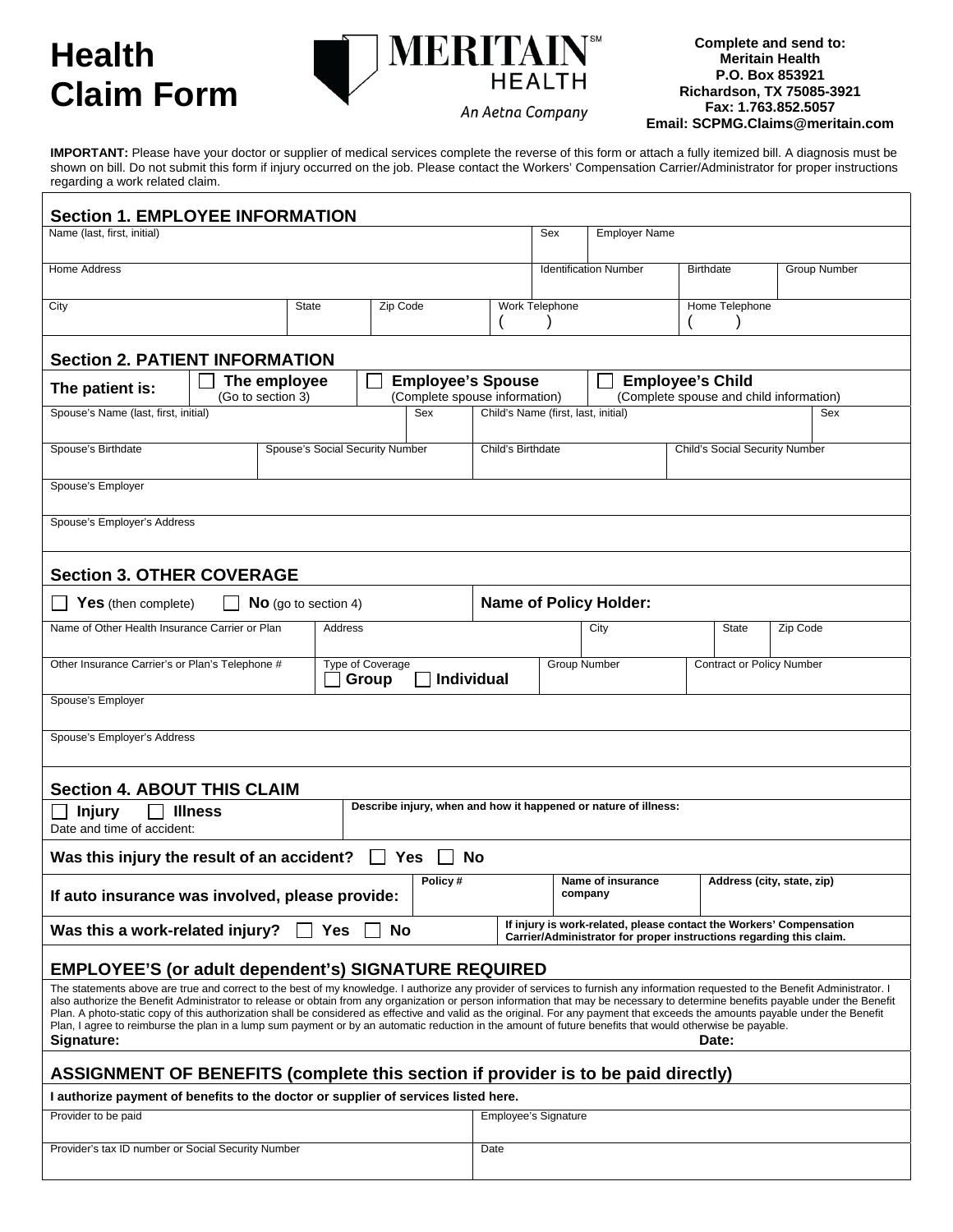## **Health Claim Form**

**Complete and send to: Meritain Health P.O. Box 853921 Richardson, TX 75085-3921 Fax: 1.763.852.5057 Email: SCPMG.Claims@meritain.com**

**IMPORTANT:** Please have your doctor or supplier of medical services complete the reverse of this form or attach a fully itemized bill. A diagnosis must be shown on bill. Do not submit this form if injury occurred on the job. Please contact the Workers' Compensation Carrier/Administrator for proper instructions regarding a work related claim.

**MERITAL** 

**HEALTH** 

An Aetna Company

| <b>Section 1. EMPLOYEE INFORMATION</b>                                                                                                                                                                                                                                                                                                                                                                                                                                                                                                                                                                                                                                                                                          |  |                                                |          |                                                                                                     |                                            |                               |                                                                     |                                  |                     |                                                                     |  |
|---------------------------------------------------------------------------------------------------------------------------------------------------------------------------------------------------------------------------------------------------------------------------------------------------------------------------------------------------------------------------------------------------------------------------------------------------------------------------------------------------------------------------------------------------------------------------------------------------------------------------------------------------------------------------------------------------------------------------------|--|------------------------------------------------|----------|-----------------------------------------------------------------------------------------------------|--------------------------------------------|-------------------------------|---------------------------------------------------------------------|----------------------------------|---------------------|---------------------------------------------------------------------|--|
| Name (last, first, initial)                                                                                                                                                                                                                                                                                                                                                                                                                                                                                                                                                                                                                                                                                                     |  |                                                |          |                                                                                                     |                                            | Sex                           | <b>Employer Name</b>                                                |                                  |                     |                                                                     |  |
| Home Address                                                                                                                                                                                                                                                                                                                                                                                                                                                                                                                                                                                                                                                                                                                    |  |                                                |          |                                                                                                     |                                            | <b>Identification Number</b>  | <b>Birthdate</b>                                                    |                                  | <b>Group Number</b> |                                                                     |  |
| City                                                                                                                                                                                                                                                                                                                                                                                                                                                                                                                                                                                                                                                                                                                            |  | <b>State</b>                                   | Zip Code |                                                                                                     | Work Telephone                             |                               |                                                                     | Home Telephone                   |                     |                                                                     |  |
| <b>Section 2. PATIENT INFORMATION</b>                                                                                                                                                                                                                                                                                                                                                                                                                                                                                                                                                                                                                                                                                           |  |                                                |          |                                                                                                     |                                            |                               |                                                                     |                                  |                     |                                                                     |  |
| <b>Employee's Spouse</b><br>The employee<br>The patient is:<br>(Go to section 3)                                                                                                                                                                                                                                                                                                                                                                                                                                                                                                                                                                                                                                                |  |                                                |          | <b>Employee's Child</b><br>(Complete spouse and child information)<br>(Complete spouse information) |                                            |                               |                                                                     |                                  |                     |                                                                     |  |
| Spouse's Name (last, first, initial)<br>Sex                                                                                                                                                                                                                                                                                                                                                                                                                                                                                                                                                                                                                                                                                     |  |                                                |          |                                                                                                     | Child's Name (first, last, initial)<br>Sex |                               |                                                                     |                                  |                     |                                                                     |  |
| Spouse's Birthdate                                                                                                                                                                                                                                                                                                                                                                                                                                                                                                                                                                                                                                                                                                              |  | Spouse's Social Security Number                |          |                                                                                                     | Child's Birthdate                          |                               |                                                                     | Child's Social Security Number   |                     |                                                                     |  |
| Spouse's Employer                                                                                                                                                                                                                                                                                                                                                                                                                                                                                                                                                                                                                                                                                                               |  |                                                |          |                                                                                                     |                                            |                               |                                                                     |                                  |                     |                                                                     |  |
| Spouse's Employer's Address                                                                                                                                                                                                                                                                                                                                                                                                                                                                                                                                                                                                                                                                                                     |  |                                                |          |                                                                                                     |                                            |                               |                                                                     |                                  |                     |                                                                     |  |
| <b>Section 3. OTHER COVERAGE</b>                                                                                                                                                                                                                                                                                                                                                                                                                                                                                                                                                                                                                                                                                                |  |                                                |          |                                                                                                     |                                            |                               |                                                                     |                                  |                     |                                                                     |  |
| <b>Yes</b> (then complete)<br><b>No</b> (go to section 4)                                                                                                                                                                                                                                                                                                                                                                                                                                                                                                                                                                                                                                                                       |  |                                                |          |                                                                                                     |                                            | <b>Name of Policy Holder:</b> |                                                                     |                                  |                     |                                                                     |  |
| Name of Other Health Insurance Carrier or Plan                                                                                                                                                                                                                                                                                                                                                                                                                                                                                                                                                                                                                                                                                  |  | Address                                        |          |                                                                                                     | City                                       |                               |                                                                     | State                            | Zip Code            |                                                                     |  |
| Other Insurance Carrier's or Plan's Telephone #                                                                                                                                                                                                                                                                                                                                                                                                                                                                                                                                                                                                                                                                                 |  | <b>Type of Coverage</b><br>Individual<br>Group |          |                                                                                                     |                                            | <b>Group Number</b>           |                                                                     | <b>Contract or Policy Number</b> |                     |                                                                     |  |
| Spouse's Employer                                                                                                                                                                                                                                                                                                                                                                                                                                                                                                                                                                                                                                                                                                               |  |                                                |          |                                                                                                     |                                            |                               |                                                                     |                                  |                     |                                                                     |  |
| Spouse's Employer's Address                                                                                                                                                                                                                                                                                                                                                                                                                                                                                                                                                                                                                                                                                                     |  |                                                |          |                                                                                                     |                                            |                               |                                                                     |                                  |                     |                                                                     |  |
| <b>Section 4. ABOUT THIS CLAIM</b>                                                                                                                                                                                                                                                                                                                                                                                                                                                                                                                                                                                                                                                                                              |  |                                                |          |                                                                                                     |                                            |                               |                                                                     |                                  |                     |                                                                     |  |
| Describe injury, when and how it happened or nature of illness:<br><b>Injury</b><br><b>Illness</b><br>Date and time of accident:                                                                                                                                                                                                                                                                                                                                                                                                                                                                                                                                                                                                |  |                                                |          |                                                                                                     |                                            |                               |                                                                     |                                  |                     |                                                                     |  |
| Was this injury the result of an accident? $\Box$ Yes $\Box$                                                                                                                                                                                                                                                                                                                                                                                                                                                                                                                                                                                                                                                                    |  |                                                |          |                                                                                                     | <b>No</b>                                  |                               |                                                                     |                                  |                     |                                                                     |  |
| Policy#<br>If auto insurance was involved, please provide:                                                                                                                                                                                                                                                                                                                                                                                                                                                                                                                                                                                                                                                                      |  |                                                |          |                                                                                                     |                                            | Name of insurance<br>company  |                                                                     | Address (city, state, zip)       |                     |                                                                     |  |
| Was this a work-related injury?                                                                                                                                                                                                                                                                                                                                                                                                                                                                                                                                                                                                                                                                                                 |  | <b>Yes</b>                                     | No       |                                                                                                     |                                            |                               | Carrier/Administrator for proper instructions regarding this claim. |                                  |                     | If injury is work-related, please contact the Workers' Compensation |  |
| <b>EMPLOYEE'S (or adult dependent's) SIGNATURE REQUIRED</b>                                                                                                                                                                                                                                                                                                                                                                                                                                                                                                                                                                                                                                                                     |  |                                                |          |                                                                                                     |                                            |                               |                                                                     |                                  |                     |                                                                     |  |
| The statements above are true and correct to the best of my knowledge. I authorize any provider of services to furnish any information requested to the Benefit Administrator. I<br>also authorize the Benefit Administrator to release or obtain from any organization or person information that may be necessary to determine benefits payable under the Benefit<br>Plan. A photo-static copy of this authorization shall be considered as effective and valid as the original. For any payment that exceeds the amounts payable under the Benefit<br>Plan, I agree to reimburse the plan in a lump sum payment or by an automatic reduction in the amount of future benefits that would otherwise be payable.<br>Signature: |  |                                                |          |                                                                                                     |                                            |                               |                                                                     |                                  | Date:               |                                                                     |  |
| ASSIGNMENT OF BENEFITS (complete this section if provider is to be paid directly)                                                                                                                                                                                                                                                                                                                                                                                                                                                                                                                                                                                                                                               |  |                                                |          |                                                                                                     |                                            |                               |                                                                     |                                  |                     |                                                                     |  |
|                                                                                                                                                                                                                                                                                                                                                                                                                                                                                                                                                                                                                                                                                                                                 |  |                                                |          |                                                                                                     |                                            |                               |                                                                     |                                  |                     |                                                                     |  |
| I authorize payment of benefits to the doctor or supplier of services listed here.<br>Provider to be paid<br>Employee's Signature                                                                                                                                                                                                                                                                                                                                                                                                                                                                                                                                                                                               |  |                                                |          |                                                                                                     |                                            |                               |                                                                     |                                  |                     |                                                                     |  |
| Provider's tax ID number or Social Security Number                                                                                                                                                                                                                                                                                                                                                                                                                                                                                                                                                                                                                                                                              |  |                                                |          |                                                                                                     | Date                                       |                               |                                                                     |                                  |                     |                                                                     |  |
|                                                                                                                                                                                                                                                                                                                                                                                                                                                                                                                                                                                                                                                                                                                                 |  |                                                |          |                                                                                                     |                                            |                               |                                                                     |                                  |                     |                                                                     |  |